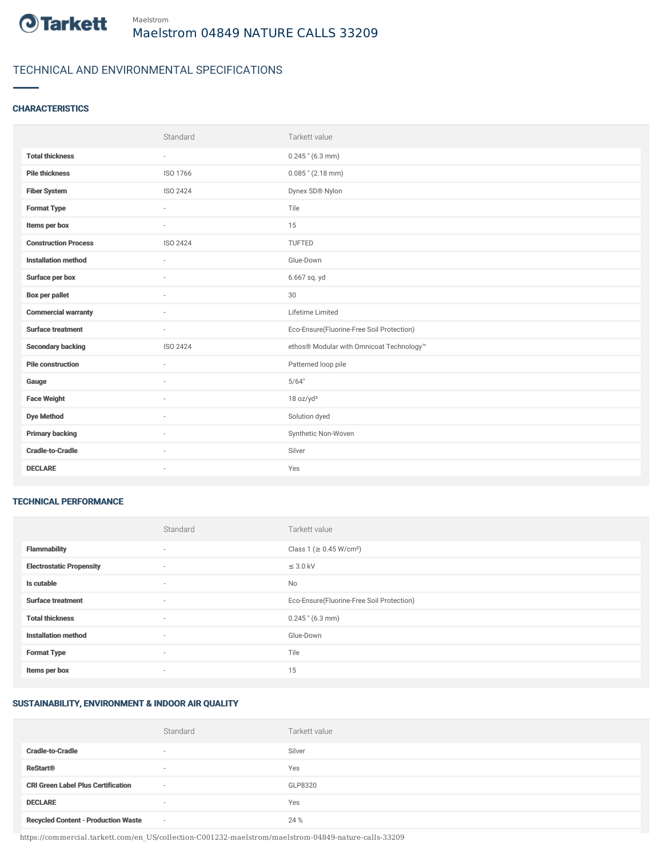

# TECHNICAL AND ENVIRONMENTAL SPECIFICATIONS

### **CHARACTERISTICS**

|                             | Standard                 | Tarkett value                             |
|-----------------------------|--------------------------|-------------------------------------------|
| <b>Total thickness</b>      | $\overline{\phantom{a}}$ | $0.245$ " (6.3 mm)                        |
| <b>Pile thickness</b>       | ISO 1766                 | $0.085$ " (2.18 mm)                       |
| <b>Fiber System</b>         | ISO 2424                 | Dynex SD® Nylon                           |
| <b>Format Type</b>          | ٠                        | Tile                                      |
| Items per box               | ÷                        | 15                                        |
| <b>Construction Process</b> | ISO 2424                 | TUFTED                                    |
| <b>Installation method</b>  | $\overline{\phantom{a}}$ | Glue-Down                                 |
| Surface per box             | ٠                        | 6.667 sq. yd                              |
| <b>Box per pallet</b>       | $\sim$                   | 30                                        |
| <b>Commercial warranty</b>  | ÷.                       | Lifetime Limited                          |
| <b>Surface treatment</b>    | $\overline{\phantom{a}}$ | Eco-Ensure(Fluorine-Free Soil Protection) |
| <b>Secondary backing</b>    | ISO 2424                 | ethos® Modular with Omnicoat Technology™  |
| <b>Pile construction</b>    | ×                        | Patterned loop pile                       |
| Gauge                       | ÷.                       | 5/64"                                     |
| <b>Face Weight</b>          | ٠                        | 18 oz/yd <sup>2</sup>                     |
| <b>Dye Method</b>           | $\sim$                   | Solution dyed                             |
| <b>Primary backing</b>      | ٠                        | Synthetic Non-Woven                       |
| <b>Cradle-to-Cradle</b>     | ٠                        | Silver                                    |
| <b>DECLARE</b>              | $\sim$                   | Yes                                       |

#### TECHNICAL PERFORMANCE

|                                 | Standard                 | Tarkett value                             |
|---------------------------------|--------------------------|-------------------------------------------|
| <b>Flammability</b>             | $\sim$                   | Class 1 (≥ 0.45 W/cm <sup>2</sup> )       |
| <b>Electrostatic Propensity</b> | $\sim$                   | $\leq$ 3.0 kV                             |
| Is cutable                      | $\sim$                   | No                                        |
| <b>Surface treatment</b>        | $\sim$                   | Eco-Ensure(Fluorine-Free Soil Protection) |
| <b>Total thickness</b>          | $\sim$                   | $0.245$ " (6.3 mm)                        |
| <b>Installation method</b>      | $\sim$                   | Glue-Down                                 |
| <b>Format Type</b>              | $\overline{\phantom{a}}$ | Tile                                      |
| Items per box                   | $\overline{\phantom{a}}$ | 15                                        |

# SUSTAINABILITY, ENVIRONMENT & INDOOR AIR QUALITY

|                                            | Standard                 | Tarkett value |
|--------------------------------------------|--------------------------|---------------|
| <b>Cradle-to-Cradle</b>                    | $\overline{\phantom{a}}$ | Silver        |
| <b>ReStart®</b>                            | $\overline{\phantom{a}}$ | Yes           |
| <b>CRI Green Label Plus Certification</b>  | $\sim$                   | GLP8320       |
| <b>DECLARE</b>                             | $\sim$                   | Yes           |
| <b>Recycled Content - Production Waste</b> | $\sim$                   | 24 %          |

https://commercial.tarkett.com/en\_US/collection-C001232-maelstrom/maelstrom-04849-nature-calls-33209